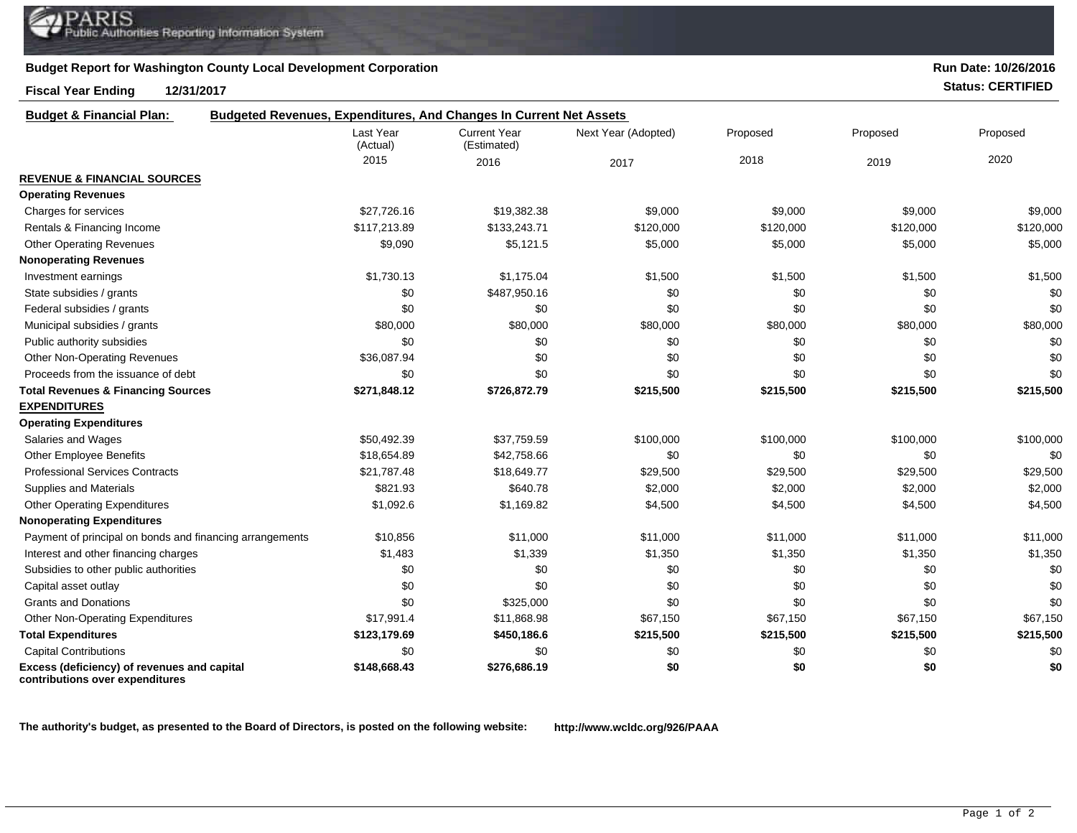## **Budget Report for Washington County Local Development Corporation**

## **Fiscal Year Ending 12/31/2017 Status: CERTIFIED**

**contributions over expenditures**

**Run Date: 10/26/2016**

| <b>Budget &amp; Financial Plan:</b>                      | <b>Budgeted Revenues, Expenditures, And Changes In Current Net Assets</b> |                                    |                     |           |           |           |
|----------------------------------------------------------|---------------------------------------------------------------------------|------------------------------------|---------------------|-----------|-----------|-----------|
|                                                          | Last Year<br>(Actual)                                                     | <b>Current Year</b><br>(Estimated) | Next Year (Adopted) | Proposed  | Proposed  | Proposed  |
|                                                          | 2015                                                                      | 2016                               | 2017                | 2018      | 2019      | 2020      |
| <b>REVENUE &amp; FINANCIAL SOURCES</b>                   |                                                                           |                                    |                     |           |           |           |
| <b>Operating Revenues</b>                                |                                                                           |                                    |                     |           |           |           |
| Charges for services                                     | \$27,726.16                                                               | \$19,382.38                        | \$9,000             | \$9,000   | \$9,000   | \$9,000   |
| Rentals & Financing Income                               | \$117,213.89                                                              | \$133,243.71                       | \$120,000           | \$120,000 | \$120,000 | \$120,000 |
| <b>Other Operating Revenues</b>                          | \$9,090                                                                   | \$5,121.5                          | \$5,000             | \$5,000   | \$5,000   | \$5,000   |
| <b>Nonoperating Revenues</b>                             |                                                                           |                                    |                     |           |           |           |
| Investment earnings                                      | \$1,730.13                                                                | \$1,175.04                         | \$1,500             | \$1,500   | \$1,500   | \$1,500   |
| State subsidies / grants                                 | \$0                                                                       | \$487,950.16                       | \$0                 | \$0       | \$0       | \$0       |
| Federal subsidies / grants                               | \$0                                                                       | \$0                                | \$0                 | \$0       | \$0       | \$0       |
| Municipal subsidies / grants                             | \$80,000                                                                  | \$80,000                           | \$80,000            | \$80,000  | \$80,000  | \$80,000  |
| Public authority subsidies                               | \$0                                                                       | \$0                                | \$0                 | \$0       | \$0       | \$0       |
| <b>Other Non-Operating Revenues</b>                      | \$36,087.94                                                               | \$0                                | \$0                 | \$0       | \$0       | \$0       |
| Proceeds from the issuance of debt                       | \$0                                                                       | \$0                                | \$0                 | \$0       | \$0       | \$0       |
| <b>Total Revenues &amp; Financing Sources</b>            | \$271,848.12                                                              | \$726,872.79                       | \$215,500           | \$215,500 | \$215,500 | \$215,500 |
| <b>EXPENDITURES</b>                                      |                                                                           |                                    |                     |           |           |           |
| <b>Operating Expenditures</b>                            |                                                                           |                                    |                     |           |           |           |
| Salaries and Wages                                       | \$50,492.39                                                               | \$37,759.59                        | \$100,000           | \$100,000 | \$100,000 | \$100,000 |
| <b>Other Employee Benefits</b>                           | \$18,654.89                                                               | \$42,758.66                        | \$0                 | \$0       | \$0       | \$0       |
| <b>Professional Services Contracts</b>                   | \$21,787.48                                                               | \$18,649.77                        | \$29,500            | \$29,500  | \$29,500  | \$29,500  |
| <b>Supplies and Materials</b>                            | \$821.93                                                                  | \$640.78                           | \$2,000             | \$2,000   | \$2,000   | \$2,000   |
| <b>Other Operating Expenditures</b>                      | \$1,092.6                                                                 | \$1,169.82                         | \$4,500             | \$4,500   | \$4,500   | \$4,500   |
| <b>Nonoperating Expenditures</b>                         |                                                                           |                                    |                     |           |           |           |
| Payment of principal on bonds and financing arrangements | \$10,856                                                                  | \$11,000                           | \$11,000            | \$11,000  | \$11,000  | \$11,000  |
| Interest and other financing charges                     | \$1,483                                                                   | \$1,339                            | \$1,350             | \$1,350   | \$1,350   | \$1,350   |
| Subsidies to other public authorities                    | \$0                                                                       | \$0                                | \$0                 | \$0       | \$0       | \$0       |
| Capital asset outlay                                     | \$0                                                                       | \$0                                | \$0                 | \$0       | \$0       | \$0       |
| <b>Grants and Donations</b>                              | \$0                                                                       | \$325,000                          | \$0                 | \$0       | \$0       | \$0       |
| Other Non-Operating Expenditures                         | \$17,991.4                                                                | \$11,868.98                        | \$67,150            | \$67,150  | \$67,150  | \$67,150  |
| <b>Total Expenditures</b>                                | \$123,179.69                                                              | \$450,186.6                        | \$215,500           | \$215,500 | \$215,500 | \$215,500 |
| <b>Capital Contributions</b>                             | \$0                                                                       | \$0                                | \$0                 | \$0       | \$0       | \$0       |
| Excess (deficiency) of revenues and capital              | \$148,668.43                                                              | \$276,686.19                       | \$0                 | \$0       | \$0       | \$0       |

**The authority's budget, as presented to the Board of Directors, is posted on the following website: http://www.wcldc.org/926/PAAA**